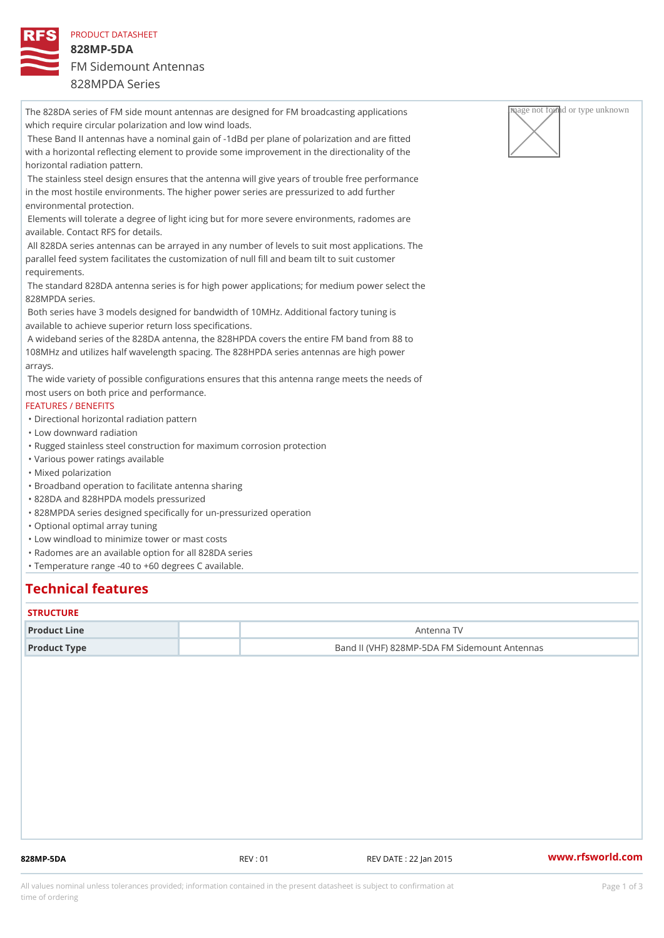PRODUCT DATASHEET 828MP-5DA FM Sidemount Antennas 828MPDA Series

The 828DA series of FM side mount antennas are designed for FM broadcas  $\sqrt{R_{\rm H}^2 Q^2}$  applied artivagnightnown which require circular polarization and low wind loads. These Band II antennas have a nominal gain of -1dBd per plane of polarization and are fitted with a horizontal reflecting element to provide some improvement in the directionality of the horizontal radiation pattern. The stainless steel design ensures that the antenna will give years of trouble free performance in the most hostile environments. The higher power series are pressurized to add further environmental protection. Elements will tolerate a degree of light icing but for more severe environments, radomes are available. Contact RFS for details. All 828DA series antennas can be arrayed in any number of levels to suit most applications. The parallel feed system facilitates the customization of null fill and beam tilt to suit customer requirements. The standard 828DA antenna series is for high power applications; for medium power select the 828MPDA series. Both series have 3 models designed for bandwidth of 10MHz. Additional factory tuning is available to achieve superior return loss specifications. A wideband series of the 828DA antenna, the 828HPDA covers the entire FM band from 88 to 108MHz and utilizes half wavelength spacing. The 828HPDA series antennas are high power arrays. The wide variety of possible configurations ensures that this antenna range meets the needs of most users on both price and performance. FEATURES / BENEFITS "Directional horizontal radiation pattern "Low downward radiation "Rugged stainless steel construction for maximum corrosion protection "Various power ratings available "Mixed polarization "Broadband operation to facilitate antenna sharing "828DA and 828HPDA models pressurized "828MPDA series designed specifically for un-pressurized operation "Optional optimal array tuning "Low windload to minimize tower or mast costs "Radomes are an available option for all 828DA series "Temperature range -40 to +60 degrees C available.

## Technical features

#### **STRUCTURE**

| Product Line | Antenna TV                                    |  |
|--------------|-----------------------------------------------|--|
| Product Type | Band II (VHF) 828MP-5DA FM Sidemount Antennas |  |

828MP-5DA REV : 01 REV DATE : 22 Jan 2015 [www.](https://www.rfsworld.com)rfsworld.com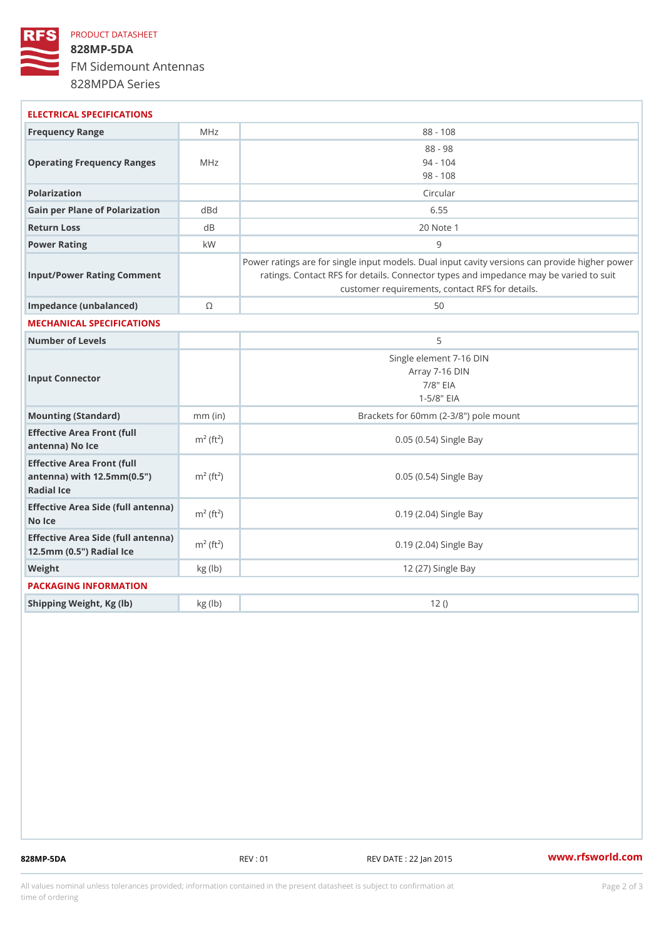## PRODUCT DATASHEET 828MP-5DA FM Sidemount Antennas 828MPDA Series

| ELECTRICAL SPECIFICATIONS                                                                                   |                          |                                                                                                                                                                                          |
|-------------------------------------------------------------------------------------------------------------|--------------------------|------------------------------------------------------------------------------------------------------------------------------------------------------------------------------------------|
| Frequency Range                                                                                             | MHz                      | $88 - 108$                                                                                                                                                                               |
| Operating Frequency RangeMeHz                                                                               |                          | $88 - 98$<br>$94 - 104$<br>$98 - 108$                                                                                                                                                    |
| Polarization                                                                                                |                          | Circular                                                                                                                                                                                 |
| Gain per Plane of Polarizat doBnd                                                                           |                          | 6.55                                                                                                                                                                                     |
| Return Loss                                                                                                 | d B                      | 20 Note 1                                                                                                                                                                                |
| Power Rating                                                                                                | k W                      | 9                                                                                                                                                                                        |
| Input/Power Rating Comment                                                                                  |                          | Power ratings are for single input models. Dual input cavity versid<br>ratings. Contact RFS for details. Connector types and impedand<br>customer requirements, contact RFS for details. |
| Impedance (unbalanced)                                                                                      | $\circledcirc$           | 50                                                                                                                                                                                       |
| MECHANICAL SPECIFICATIONS                                                                                   |                          |                                                                                                                                                                                          |
| Number of Levels                                                                                            |                          | 5                                                                                                                                                                                        |
| Input Connector                                                                                             |                          | Single element 7-16 DIN<br>Array 7-16 DIN<br>$7/8$ " EIA<br>$1 - 5/8$ $EIA$                                                                                                              |
| Mounting (Standard)                                                                                         | $mm$ (in)                | Brackets for 60mm (2-3/8") pole mount                                                                                                                                                    |
| Effective Area Front (full<br>antenna) No Ice                                                               | $m^2$ (ft <sup>2</sup> ) | 0.05 (0.54) Single Bay                                                                                                                                                                   |
| Effective Area Front (full<br>antenna) with $12.5$ mm $(0.5$ " $\dot{m}$ <sup>2</sup> $(ft2)$<br>Radial Ice |                          | 0.05 (0.54) Single Bay                                                                                                                                                                   |
| Effective Area Side (full antenna)<br>No Ice                                                                |                          | 0.19 (2.04) Single Bay                                                                                                                                                                   |
| Effective Area Side (full antenna)<br>12.5mm (0.5") Radial Ice                                              |                          | 0.19 (2.04) Single Bay                                                                                                                                                                   |
| Weight                                                                                                      | kg(lb)                   | 12 (27) Single Bay                                                                                                                                                                       |
| PACKAGING INFORMATION                                                                                       |                          |                                                                                                                                                                                          |
| Shipping Weight, Kg (lb)                                                                                    | kg(lb)                   | 12()                                                                                                                                                                                     |
|                                                                                                             |                          |                                                                                                                                                                                          |

828MP-5DA REV : 01 REV DATE : 22 Jan 2015 [www.](https://www.rfsworld.com)rfsworld.com